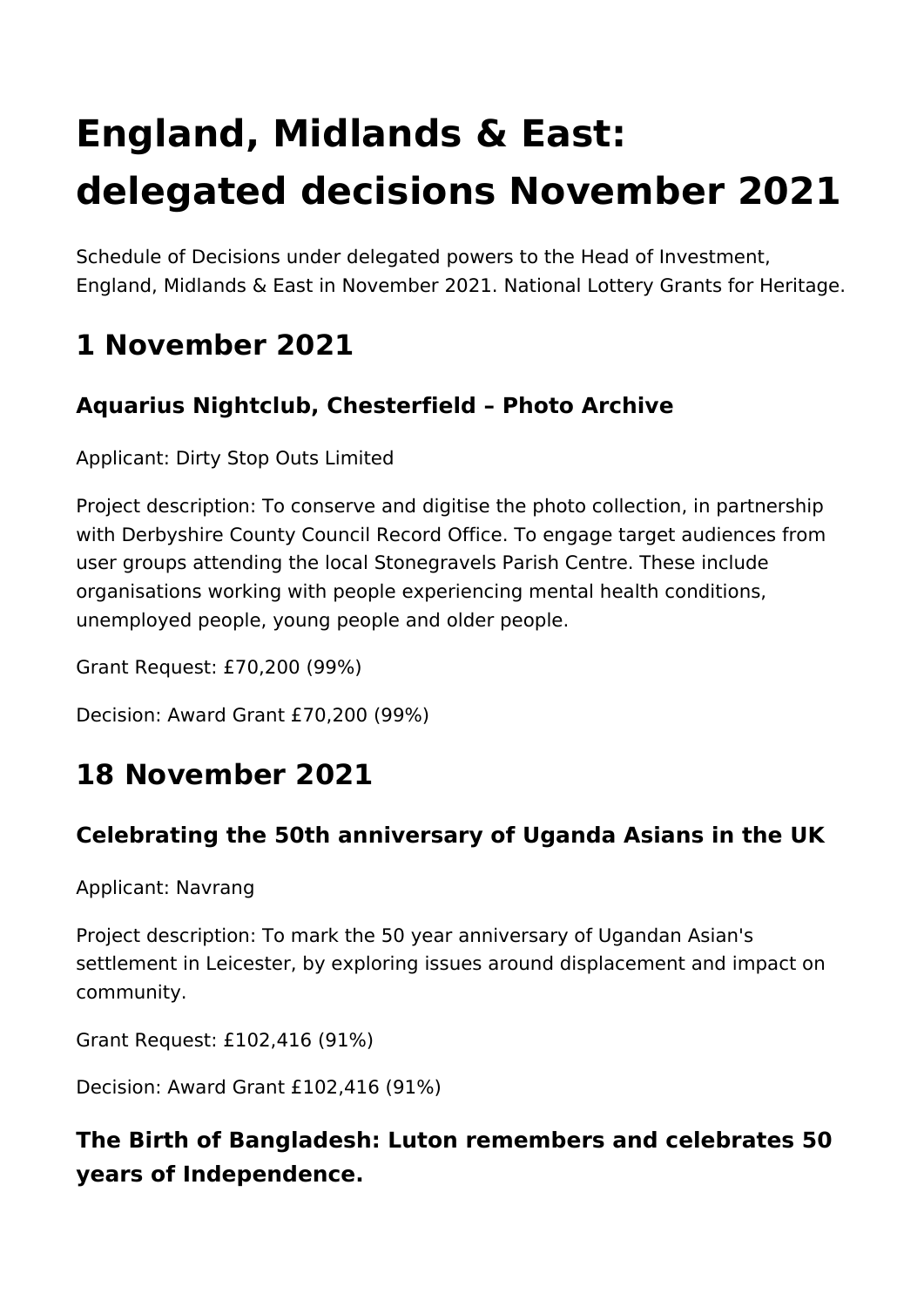# **England, Midlands & East: delegated decisions November 2021**

Schedule of Decisions under delegated powers to the Head of Investment, England, Midlands & East in November 2021. National Lottery Grants for Heritage.

# **1 November 2021**

# **Aquarius Nightclub, Chesterfield – Photo Archive**

Applicant: Dirty Stop Outs Limited

Project description: To conserve and digitise the photo collection, in partnership with Derbyshire County Council Record Office. To engage target audiences from user groups attending the local Stonegravels Parish Centre. These include organisations working with people experiencing mental health conditions, unemployed people, young people and older people.

Grant Request: £70,200 (99%)

Decision: Award Grant £70,200 (99%)

# **18 November 2021**

#### **Celebrating the 50th anniversary of Uganda Asians in the UK**

Applicant: Navrang

Project description: To mark the 50 year anniversary of Ugandan Asian's settlement in Leicester, by exploring issues around displacement and impact on community.

Grant Request: £102,416 (91%)

Decision: Award Grant £102,416 (91%)

# **The Birth of Bangladesh: Luton remembers and celebrates 50 years of Independence.**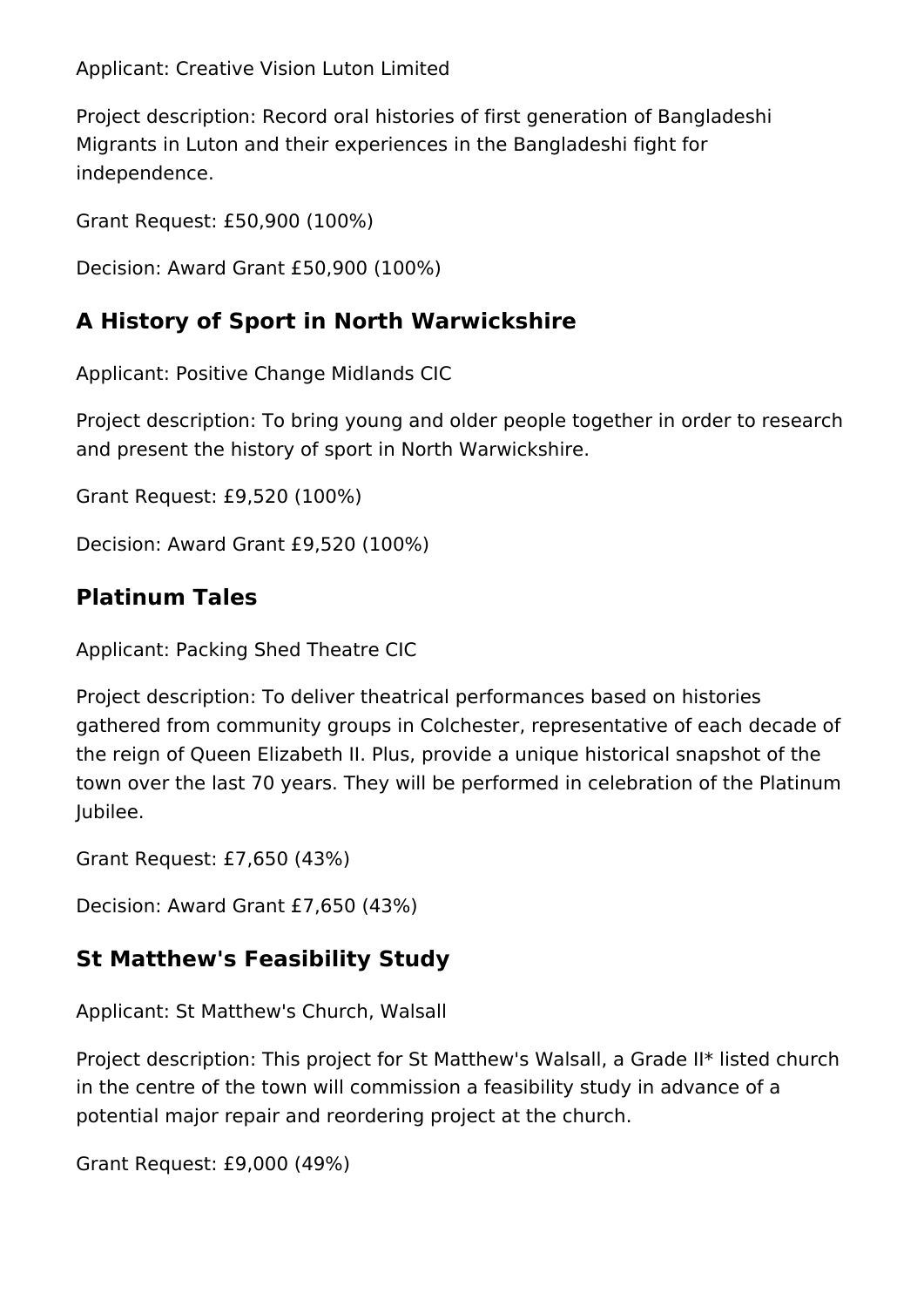Applicant: Creative Vision Luton Limited

Project description: Record oral histories of first generation of Bangladeshi Migrants in Luton and their experiences in the Bangladeshi fight for independence.

Grant Request: £50,900 (100%)

Decision: Award Grant £50,900 (100%)

#### **A History of Sport in North Warwickshire**

Applicant: Positive Change Midlands CIC

Project description: To bring young and older people together in order to research and present the history of sport in North Warwickshire.

Grant Request: £9,520 (100%)

Decision: Award Grant £9,520 (100%)

# **Platinum Tales**

Applicant: Packing Shed Theatre CIC

Project description: To deliver theatrical performances based on histories gathered from community groups in Colchester, representative of each decade of the reign of Queen Elizabeth II. Plus, provide a unique historical snapshot of the town over the last 70 years. They will be performed in celebration of the Platinum Jubilee.

Grant Request: £7,650 (43%)

Decision: Award Grant £7,650 (43%)

# **St Matthew's Feasibility Study**

Applicant: St Matthew's Church, Walsall

Project description: This project for St Matthew's Walsall, a Grade II\* listed church in the centre of the town will commission a feasibility study in advance of a potential major repair and reordering project at the church.

Grant Request: £9,000 (49%)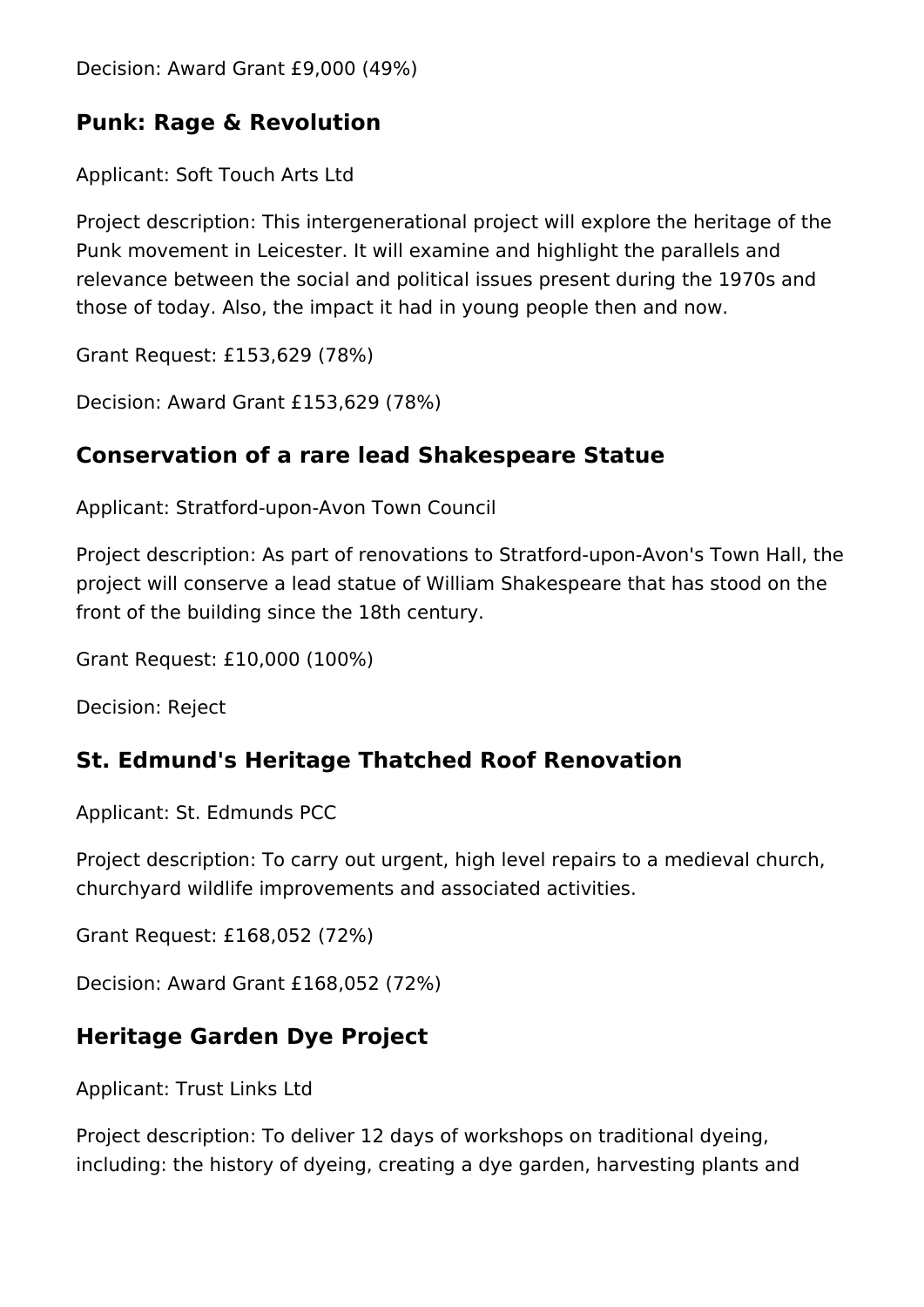Decision: Award Grant £9,000 (49%)

#### **Punk: Rage & Revolution**

Applicant: Soft Touch Arts Ltd

Project description: This intergenerational project will explore the heritage of the Punk movement in Leicester. It will examine and highlight the parallels and relevance between the social and political issues present during the 1970s and those of today. Also, the impact it had in young people then and now.

Grant Request: £153,629 (78%)

Decision: Award Grant £153,629 (78%)

#### **Conservation of a rare lead Shakespeare Statue**

Applicant: Stratford-upon-Avon Town Council

Project description: As part of renovations to Stratford-upon-Avon's Town Hall, the project will conserve a lead statue of William Shakespeare that has stood on the front of the building since the 18th century.

Grant Request: £10,000 (100%)

Decision: Reject

#### **St. Edmund's Heritage Thatched Roof Renovation**

Applicant: St. Edmunds PCC

Project description: To carry out urgent, high level repairs to a medieval church, churchyard wildlife improvements and associated activities.

Grant Request: £168,052 (72%)

Decision: Award Grant £168,052 (72%)

#### **Heritage Garden Dye Project**

Applicant: Trust Links Ltd

Project description: To deliver 12 days of workshops on traditional dyeing, including: the history of dyeing, creating a dye garden, harvesting plants and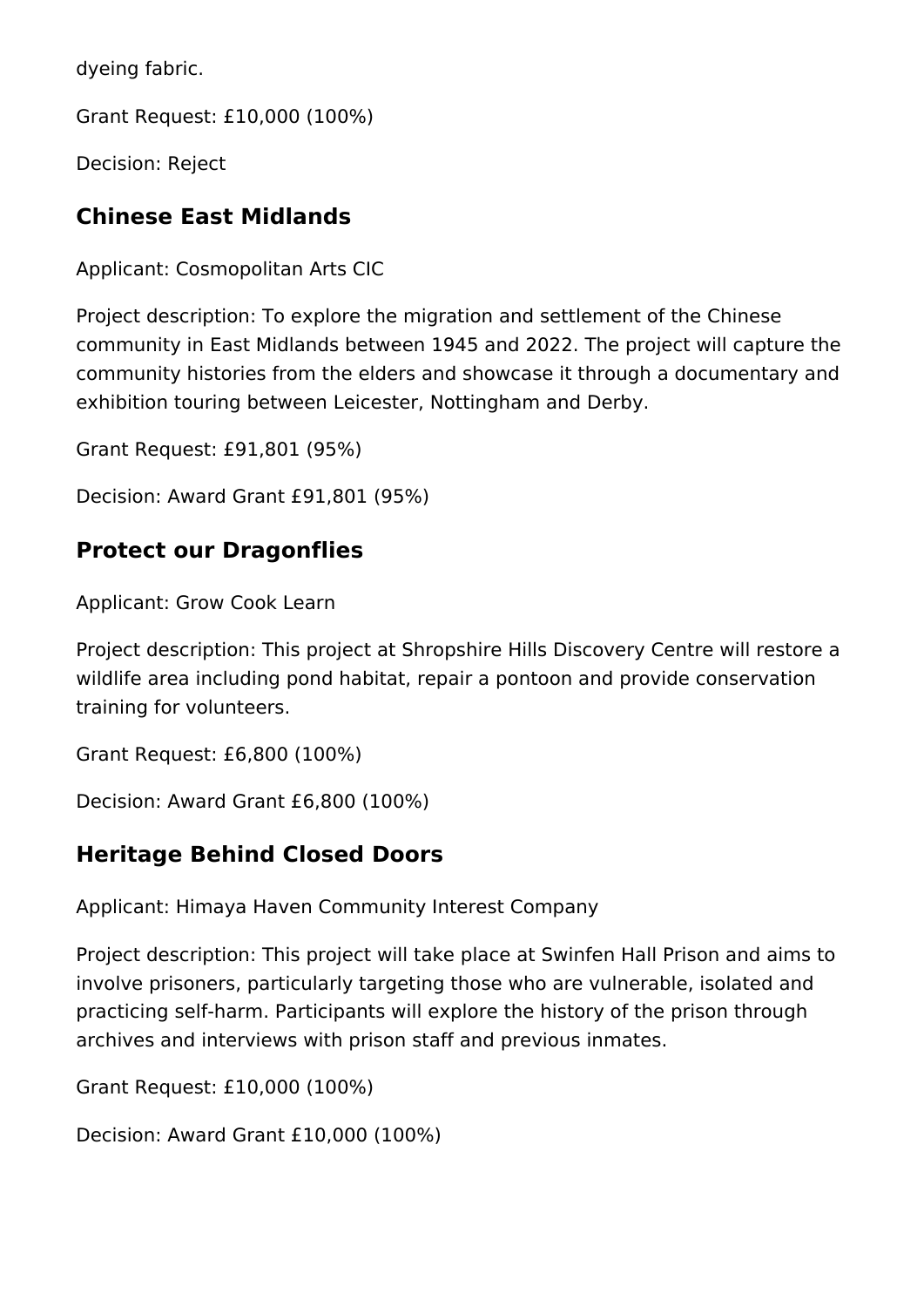dyeing fabric.

Grant Request: £10,000 (100%)

Decision: Reject

# **Chinese East Midlands**

Applicant: Cosmopolitan Arts CIC

Project description: To explore the migration and settlement of the Chinese community in East Midlands between 1945 and 2022. The project will capture the community histories from the elders and showcase it through a documentary and exhibition touring between Leicester, Nottingham and Derby.

Grant Request: £91,801 (95%)

Decision: Award Grant £91,801 (95%)

#### **Protect our Dragonflies**

Applicant: Grow Cook Learn

Project description: This project at Shropshire Hills Discovery Centre will restore a wildlife area including pond habitat, repair a pontoon and provide conservation training for volunteers.

Grant Request: £6,800 (100%)

Decision: Award Grant £6,800 (100%)

#### **Heritage Behind Closed Doors**

Applicant: Himaya Haven Community Interest Company

Project description: This project will take place at Swinfen Hall Prison and aims to involve prisoners, particularly targeting those who are vulnerable, isolated and practicing self-harm. Participants will explore the history of the prison through archives and interviews with prison staff and previous inmates.

Grant Request: £10,000 (100%)

Decision: Award Grant £10,000 (100%)